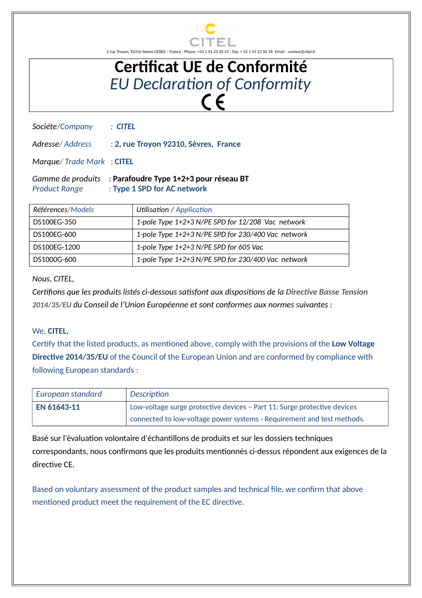

2 rue Troyon, 92316 Sèvres CEDEX – France - Phone: +33 1 41 23 50 23 - Fax: + 33 1 41 23 50 39- Email : contact@citel.fr

## **Certificat UE de Conformité** *EU Declaration of Conformity*

*Sociéte/Company : CITEL*

*Adresse/ Address* : **2, rue Troyon 92310, Sèvres, France**

*Marque/ Trade Mark* : **CITEL**

*Gamme de produits :* **Parafoudre Type 1+2+3 pour réseau BT** *Product Range* : **Type 1 SPD for AC network**

| Références/Models | Utilisation / Application                          |
|-------------------|----------------------------------------------------|
| DS100EG-350       | 1-pole Type 1+2+3 N/PE SPD for 12/208 Vac network  |
| DS100EG-600       | 1-pole Type 1+2+3 N/PE SPD for 230/400 Vac network |
| DS100FG-1200      | 1-pole Type 1+2+3 N/PE SPD for 605 Vac             |
| DS1000G-600       | 1-pole Type 1+2+3 N/PE SPD for 230/400 Vac network |

*Nous, CITEL,*

*Certifions que les produits listés ci-dessous satisfont aux dispositions de la Directive Basse Tension 2014/35/EU du Conseil de l'Union Européenne et sont conformes aux normes suivantes :*

## We, **CITEL,**

Certify that the listed products, as mentioned above, comply with the provisions of the **Low Voltage Directive 2014/35/EU** of the Council of the European Union and are conformed by compliance with following European standards :

| European standard | Description                                                              |
|-------------------|--------------------------------------------------------------------------|
| EN 61643-11       | Low-voltage surge protective devices - Part 11: Surge protective devices |
|                   | connected to low-voltage power systems - Requirement and test methods.   |

Basé sur l'évaluation volontaire d'échantillons de produits et sur les dossiers techniques correspondants, nous confirmons que les produits mentionnés ci-dessus répondent aux exigences de la directive CE.

Based on voluntary assessment of the product samples and technical file, we confirm that above mentioned product meet the requirement of the EC directive.